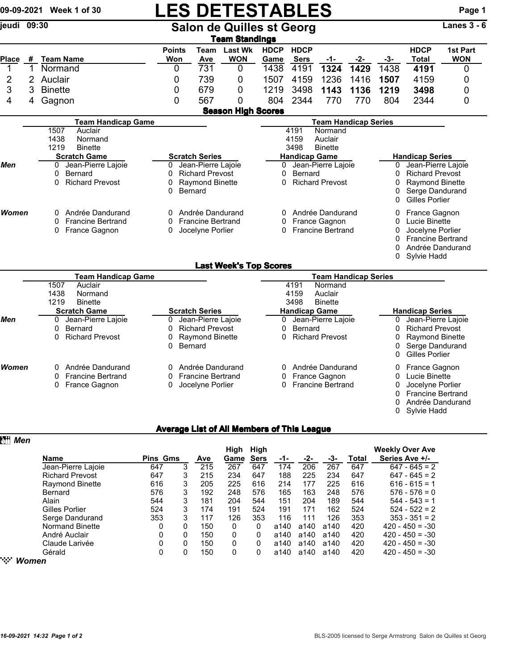## 09-09-2021 Week 1 of 30 LES DETESTABLES<br>
Salon de Quilles st Georg<br>
Ranes 3 - 6 Salon de Quilles st Georg

|              |   |                               |                             |                          | <b>Team Standings</b>         |                     |                                                     |                             |                         |                        |                             |                        |  |
|--------------|---|-------------------------------|-----------------------------|--------------------------|-------------------------------|---------------------|-----------------------------------------------------|-----------------------------|-------------------------|------------------------|-----------------------------|------------------------|--|
| Place        | # | <b>Team Name</b>              | <b>Points</b><br>Won        | Team<br><b>Ave</b>       | <b>Last Wk</b><br><b>WON</b>  | <b>HDCP</b><br>Game | <b>HDCP</b><br><b>Sers</b>                          | -1-                         | -2-                     | $-3-$                  | <b>HDCP</b><br><b>Total</b> | 1st Part<br><b>WON</b> |  |
| 1            | 1 | Normand                       | 0                           | 731                      | 0                             | 1438                | 4191                                                | 1324                        | 1429                    | 1438                   | 4191                        | 0                      |  |
| 2            | 2 | Auclair                       | 0                           | 739                      | 0                             | 1507                | 4159                                                | 1236                        | 1416                    | 1507                   | 4159                        | 0                      |  |
| 3            | 3 | <b>Binette</b>                | 0                           | 679                      | 0                             | 1219                | 3498                                                | 1143                        | 1136                    | 1219                   | 3498                        | 0                      |  |
| 4            | 4 | Gagnon                        | 0                           | 567                      | 0                             | 804                 | 2344                                                | 770                         | 770                     | 804                    | 2344                        | 0                      |  |
|              |   |                               |                             |                          | <b>Season High Scores</b>     |                     |                                                     |                             |                         |                        |                             |                        |  |
|              |   | <b>Team Handicap Game</b>     |                             |                          |                               |                     |                                                     | <b>Team Handicap Series</b> |                         |                        |                             |                        |  |
|              |   | 1507<br>Auclair               |                             |                          |                               |                     | 4191                                                | Normand                     |                         |                        |                             |                        |  |
|              |   | 1438<br>Normand               |                             |                          |                               |                     | 4159                                                | Auclair                     |                         |                        |                             |                        |  |
|              |   | 1219<br><b>Binette</b>        |                             |                          |                               |                     | 3498                                                | <b>Binette</b>              |                         |                        |                             |                        |  |
|              |   | <b>Scratch Game</b>           |                             | <b>Scratch Series</b>    |                               |                     | <b>Handicap Game</b>                                |                             |                         |                        | <b>Handicap Series</b>      |                        |  |
| Men          |   | Jean-Pierre Lajoie<br>0       | 0                           | Jean-Pierre Lajoie       | 0                             |                     | Jean-Pierre Lajoie                                  | Jean-Pierre Lajoie<br>0     |                         |                        |                             |                        |  |
|              |   | Bernard<br>0                  | 0                           | <b>Richard Prevost</b>   | 0                             | Bernard             |                                                     |                             | 0                       | <b>Richard Prevost</b> |                             |                        |  |
|              |   | <b>Richard Prevost</b><br>0   | 0                           | <b>Raymond Binette</b>   |                               | 0                   |                                                     | <b>Richard Prevost</b>      |                         | 0                      | <b>Raymond Binette</b>      |                        |  |
|              |   |                               | 0                           | <b>Bernard</b>           |                               |                     |                                                     |                             | 0                       | Serge Dandurand        |                             |                        |  |
|              |   |                               |                             |                          |                               |                     |                                                     |                             |                         | 0                      | <b>Gilles Porlier</b>       |                        |  |
| <b>Women</b> |   | Andrée Dandurand<br>0         | 0                           | Andrée Dandurand         |                               | 0                   |                                                     | Andrée Dandurand            |                         | 0                      | France Gagnon               |                        |  |
|              |   | <b>Francine Bertrand</b><br>0 | 0                           | <b>Francine Bertrand</b> |                               | 0                   |                                                     | France Gagnon               |                         | 0                      | Lucie Binette               |                        |  |
|              |   | 0<br>France Gagnon            | 0                           | Jocelyne Porlier         |                               | 0                   |                                                     | <b>Francine Bertrand</b>    |                         | 0                      | Jocelyne Porlier            |                        |  |
|              |   |                               |                             |                          |                               |                     |                                                     |                             |                         | 0                      | <b>Francine Bertrand</b>    |                        |  |
|              |   |                               |                             |                          |                               |                     |                                                     |                             |                         | 0                      | Andrée Dandurand            |                        |  |
|              |   |                               |                             |                          |                               |                     |                                                     |                             |                         | 0                      | Sylvie Hadd                 |                        |  |
|              |   |                               |                             |                          | <b>Last Week's Top Scores</b> |                     |                                                     |                             |                         |                        |                             |                        |  |
|              |   | <b>Team Handicap Game</b>     | <b>Team Handicap Series</b> |                          |                               |                     |                                                     |                             |                         |                        |                             |                        |  |
|              |   | 1507<br>Auclair               |                             |                          |                               |                     | 4191                                                | Normand                     |                         |                        |                             |                        |  |
|              |   | 1438<br>Normand               |                             |                          |                               |                     | 4159                                                | Auclair                     |                         |                        |                             |                        |  |
|              |   | 1219<br><b>Binette</b>        |                             |                          |                               |                     | 3498                                                | <b>Binette</b>              |                         |                        |                             |                        |  |
|              |   | <b>Scratch Game</b>           |                             | <b>Scratch Series</b>    |                               |                     | <b>Handicap Game</b>                                |                             |                         |                        | <b>Handicap Series</b>      |                        |  |
| Men          |   | Jean-Pierre Lajoie<br>0       | 0                           | Jean-Pierre Lajoie       | 0                             |                     | Jean-Pierre Lajoie                                  |                             | Jean-Pierre Lajoie<br>0 |                        |                             |                        |  |
|              |   | Bernard<br>0                  | 0                           | <b>Richard Prevost</b>   |                               | 0                   | <b>Bernard</b>                                      |                             |                         | 0                      | <b>Richard Prevost</b>      |                        |  |
|              |   | <b>Richard Prevost</b><br>0   | 0                           | Raymond Binette          |                               |                     | <b>Richard Prevost</b><br>Raymond Binette<br>0<br>0 |                             |                         |                        |                             |                        |  |
|              |   |                               | $\Omega$                    | Bernard                  |                               |                     |                                                     |                             |                         | 0                      | Serge Dandurand             |                        |  |
|              |   |                               |                             |                          |                               |                     |                                                     |                             |                         | O                      | <b>Gilles Porlier</b>       |                        |  |
| Women        |   | Andrée Dandurand<br>0         | 0                           | Andrée Dandurand         |                               |                     |                                                     | 0 Andrée Dandurand          |                         | 0                      | France Gagnon               |                        |  |

0 Francine Bertrand 0 Francine Bertrand 0 France Gagnon 0 Lucie Binette

# 0 France Gagnon **0 O** Jocelyne Porlier **0** Prancine Bertrand **0** Jocelyne Porlier

- 
- 
- 0 Francine Bertrand
- 0 Andrée Dandurand
- 0 Sylvie Hadd

### Average List of All Members of This League

| Men                    |                 |   |     | High | High        |      |      |      |       | <b>Weekly Over Ave</b> |
|------------------------|-----------------|---|-----|------|-------------|------|------|------|-------|------------------------|
| Name                   | <b>Pins Gms</b> |   | Ave | Game | <b>Sers</b> | -1-  | -2-  | -3-  | Total | Series Ave +/-         |
| Jean-Pierre Lajoie     | 647             | 3 | 215 | 267  | 647         | 174  | 206  | 267  | 647   | $647 - 645 = 2$        |
| <b>Richard Prevost</b> | 647             | 3 | 215 | 234  | 647         | 188  | 225  | 234  | 647   | $647 - 645 = 2$        |
| <b>Raymond Binette</b> | 616             | 3 | 205 | 225  | 616         | 214  | 177  | 225  | 616   | $616 - 615 = 1$        |
| Bernard                | 576             | 3 | 192 | 248  | 576         | 165  | 163  | 248  | 576   | $576 - 576 = 0$        |
| Alain                  | 544             | 3 | 181 | 204  | 544         | 151  | 204  | 189  | 544   | $544 - 543 = 1$        |
| Gilles Porlier         | 524             | 3 | 174 | 191  | 524         | 191  | 171  | 162  | 524   | $524 - 522 = 2$        |
| Serge Dandurand        | 353             | 3 | 117 | 126  | 353         | 116  | 111  | 126  | 353   | $353 - 351 = 2$        |
| <b>Normand Binette</b> | 0               | 0 | 150 | 0    | 0           | a140 | a140 | a140 | 420   | $420 - 450 = -30$      |
| André Auclair          | 0               | 0 | 150 | 0    | 0           | a140 | a140 | a140 | 420   | $420 - 450 = -30$      |
| Claude Larivée         | 0               | 0 | 150 | 0    | 0           | a140 | a140 | a140 | 420   | $420 - 450 = -30$      |
| Gérald                 | 0               | 0 | 150 | 0    | 0           | a140 | a140 | a140 | 420   | $420 - 450 = -30$      |
| $\mathbb{W}$ Momen     |                 |   |     |      |             |      |      |      |       |                        |

" *Women*